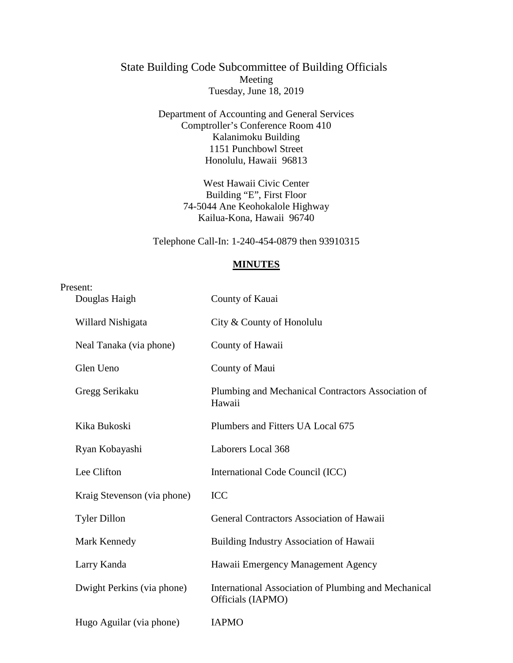## State Building Code Subcommittee of Building Officials Meeting Tuesday, June 18, 2019

Department of Accounting and General Services Comptroller's Conference Room 410 Kalanimoku Building 1151 Punchbowl Street Honolulu, Hawaii 96813

> West Hawaii Civic Center Building "E", First Floor 74-5044 Ane Keohokalole Highway Kailua-Kona, Hawaii 96740

Telephone Call-In: 1-240-454-0879 then 93910315

## **MINUTES**

| Present:                    |                                                                           |
|-----------------------------|---------------------------------------------------------------------------|
| Douglas Haigh               | County of Kauai                                                           |
| Willard Nishigata           | City & County of Honolulu                                                 |
| Neal Tanaka (via phone)     | County of Hawaii                                                          |
| Glen Ueno                   | County of Maui                                                            |
| Gregg Serikaku              | Plumbing and Mechanical Contractors Association of<br>Hawaii              |
| Kika Bukoski                | Plumbers and Fitters UA Local 675                                         |
| Ryan Kobayashi              | Laborers Local 368                                                        |
| Lee Clifton                 | International Code Council (ICC)                                          |
| Kraig Stevenson (via phone) | <b>ICC</b>                                                                |
| <b>Tyler Dillon</b>         | General Contractors Association of Hawaii                                 |
| Mark Kennedy                | Building Industry Association of Hawaii                                   |
| Larry Kanda                 | Hawaii Emergency Management Agency                                        |
| Dwight Perkins (via phone)  | International Association of Plumbing and Mechanical<br>Officials (IAPMO) |
| Hugo Aguilar (via phone)    | <b>IAPMO</b>                                                              |